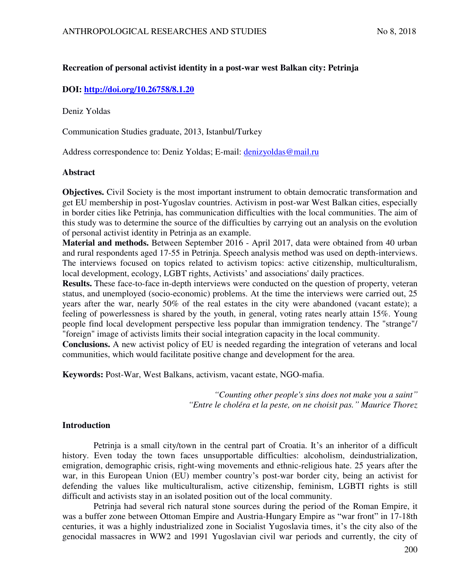# **Recreation of personal activist identity in a post-war west Balkan city: Petrinja**

## **DOI:<http://doi.org/10.26758/8.1.20>**

Deniz Yoldas

Communication Studies graduate, 2013, Istanbul/Turkey

Address correspondence to: Deniz Yoldas; E-mail: [denizyoldas@mail.ru](mailto:denizyoldas@mail.ru)

## **Abstract**

**Objectives.** Civil Society is the most important instrument to obtain democratic transformation and get EU membership in post-Yugoslav countries. Activism in post-war West Balkan cities, especially in border cities like Petrinja, has communication difficulties with the local communities. The aim of this study was to determine the source of the difficulties by carrying out an analysis on the evolution of personal activist identity in Petrinja as an example.

**Material and methods.** Between September 2016 - April 2017, data were obtained from 40 urban and rural respondents aged 17-55 in Petrinja. Speech analysis method was used on depth-interviews. The interviews focused on topics related to activism topics: active citizenship, multiculturalism, local development, ecology, LGBT rights, Activists' and associations' daily practices.

**Results.** These face-to-face in-depth interviews were conducted on the question of property, veteran status, and unemployed (socio-economic) problems. At the time the interviews were carried out, 25 years after the war, nearly 50% of the real estates in the city were abandoned (vacant estate); a feeling of powerlessness is shared by the youth, in general, voting rates nearly attain 15%. Young people find local development perspective less popular than immigration tendency. The "strange"/ "foreign" image of activists limits their social integration capacity in the local community.

**Conclusions.** A new activist policy of EU is needed regarding the integration of veterans and local communities, which would facilitate positive change and development for the area.

**Keywords:** Post-War, West Balkans, activism, vacant estate, NGO-mafia.

*"Counting other people's sins does not make you a saint" "Entre le choléra et la peste, on ne choisit pas." Maurice Thorez*

## **Introduction**

Petrinja is a small city/town in the central part of Croatia. It's an inheritor of a difficult history. Even today the town faces unsupportable difficulties: alcoholism, deindustrialization, emigration, demographic crisis, right-wing movements and ethnic-religious hate. 25 years after the war, in this European Union (EU) member country's post-war border city, being an activist for defending the values like multiculturalism, active citizenship, feminism, LGBTI rights is still difficult and activists stay in an isolated position out of the local community.

Petrinja had several rich natural stone sources during the period of the Roman Empire, it was a buffer zone between Ottoman Empire and Austria-Hungary Empire as "war front" in 17-18th centuries, it was a highly industrialized zone in Socialist Yugoslavia times, it's the city also of the genocidal massacres in WW2 and 1991 Yugoslavian civil war periods and currently, the city of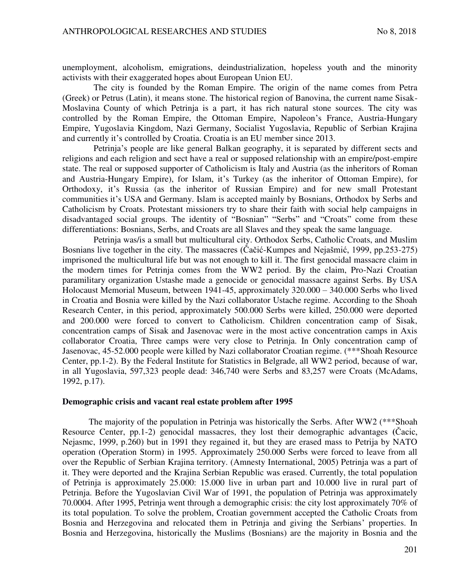unemployment, alcoholism, emigrations, deindustrialization, hopeless youth and the minority activists with their exaggerated hopes about European Union EU.

The city is founded by the Roman Empire. The origin of the name comes from Petra (Greek) or Petrus (Latin), it means stone. The historical region of Banovina, the current name Sisak-Moslavina County of which Petrinja is a part, it has rich natural stone sources. The city was controlled by the Roman Empire, the Ottoman Empire, Napoleon's France, Austria-Hungary Empire, Yugoslavia Kingdom, Nazi Germany, Socialist Yugoslavia, Republic of Serbian Krajina and currently it's controlled by Croatia. Croatia is an EU member since 2013.

Petrinja's people are like general Balkan geography, it is separated by different sects and religions and each religion and sect have a real or supposed relationship with an empire/post-empire state. The real or supposed supporter of Catholicism is Italy and Austria (as the inheritors of Roman and Austria-Hungary Empire), for Islam, it's Turkey (as the inheritor of Ottoman Empire), for Orthodoxy, it's Russia (as the inheritor of Russian Empire) and for new small Protestant communities it's USA and Germany. Islam is accepted mainly by Bosnians, Orthodox by Serbs and Catholicism by Croats. Protestant missioners try to share their faith with social help campaigns in disadvantaged social groups. The identity of "Bosnian" "Serbs" and "Croats" come from these differentiations: Bosnians, Serbs, and Croats are all Slaves and they speak the same language.

Petrinja was/is a small but multicultural city. Orthodox Serbs, Catholic Croats, and Muslim Bosnians live together in the city. The massacres (Čačić-Kumpes and Nejašmić, 1999, pp.253-275) imprisoned the multicultural life but was not enough to kill it. The first genocidal massacre claim in the modern times for Petrinja comes from the WW2 period. By the claim, Pro-Nazi Croatian paramilitary organization Ustashe made a genocide or genocidal massacre against Serbs. By USA Holocaust Memorial Museum, between 1941-45, approximately 320.000 – 340.000 Serbs who lived in Croatia and Bosnia were killed by the Nazi collaborator Ustache regime. According to the Shoah Research Center, in this period, approximately 500.000 Serbs were killed, 250.000 were deported and 200.000 were forced to convert to Catholicism. Children concentration camp of Sisak, concentration camps of Sisak and Jasenovac were in the most active concentration camps in Axis collaborator Croatia, Three camps were very close to Petrinja. In Only concentration camp of Jasenovac, 45-52.000 people were killed by Nazi collaborator Croatian regime. (\*\*\*Shoah Resource Center, pp.1-2). By the Federal Institute for Statistics in Belgrade, all WW2 period, because of war, in all Yugoslavia, 597,323 people dead: 346,740 were Serbs and 83,257 were Croats (McAdams, 1992, p.17).

### **Demographic crisis and vacant real estate problem after 1995**

The majority of the population in Petrinja was historically the Serbs. After WW2 (\*\*\*Shoah Resource Center, pp.1-2) genocidal massacres, they lost their demographic advantages **(**Čacic, Nejasmc, 1999, p.260) but in 1991 they regained it, but they are erased mass to Petrija by NATO operation (Operation Storm) in 1995. Approximately 250.000 Serbs were forced to leave from all over the Republic of Serbian Krajina territory. (Amnesty International, 2005) Petrinja was a part of it. They were deported and the Krajina Serbian Republic was erased. Currently, the total population of Petrinja is approximately 25.000: 15.000 live in urban part and 10.000 live in rural part of Petrinja. Before the Yugoslavian Civil War of 1991, the population of Petrinja was approximately 70.0004. After 1995, Petrinja went through a demographic crisis: the city lost approximately 70% of its total population. To solve the problem, Croatian government accepted the Catholic Croats from Bosnia and Herzegovina and relocated them in Petrinja and giving the Serbians' properties. In Bosnia and Herzegovina, historically the Muslims (Bosnians) are the majority in Bosnia and the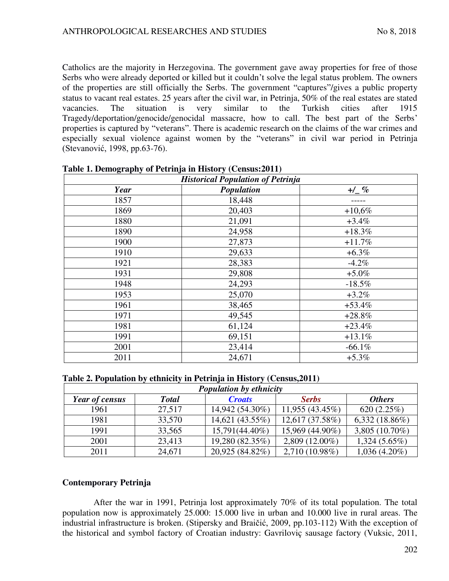Catholics are the majority in Herzegovina. The government gave away properties for free of those Serbs who were already deported or killed but it couldn't solve the legal status problem. The owners of the properties are still officially the Serbs. The government "captures"/gives a public property status to vacant real estates. 25 years after the civil war, in Petrinja, 50% of the real estates are stated vacancies. The situation is very similar to the Turkish cities after 1915 Tragedy/deportation/genocide/genocidal massacre, how to call. The best part of the Serbs' properties is captured by "veterans". There is academic research on the claims of the war crimes and especially sexual violence against women by the "veterans" in civil war period in Petrinja (Stevanović, 1998, pp.63-76).

| <b>Historical Population of Petrinja</b> |            |           |  |  |
|------------------------------------------|------------|-----------|--|--|
| Year                                     | Population | $+/-$ %   |  |  |
| 1857                                     | 18,448     |           |  |  |
| 1869                                     | 20,403     | $+10,6%$  |  |  |
| 1880                                     | 21,091     | $+3.4\%$  |  |  |
| 1890                                     | 24,958     | $+18.3%$  |  |  |
| 1900                                     | 27,873     | $+11.7%$  |  |  |
| 1910                                     | 29,633     | $+6.3\%$  |  |  |
| 1921                                     | 28,383     | $-4.2\%$  |  |  |
| 1931                                     | 29,808     | $+5.0\%$  |  |  |
| 1948                                     | 24,293     | $-18.5%$  |  |  |
| 1953                                     | 25,070     | $+3.2\%$  |  |  |
| 1961                                     | 38,465     | $+53.4%$  |  |  |
| 1971                                     | 49,545     | $+28.8\%$ |  |  |
| 1981                                     | 61,124     | $+23.4%$  |  |  |
| 1991                                     | 69,151     | $+13.1%$  |  |  |
| 2001                                     | 23,414     | $-66.1%$  |  |  |
| 2011                                     | 24,671     | $+5.3%$   |  |  |

|  |  | Table 2. Population by ethnicity in Petrinja in History (Census, 2011) |  |
|--|--|------------------------------------------------------------------------|--|
|  |  |                                                                        |  |

| <b>Population by ethnicity</b> |              |                 |                 |                   |
|--------------------------------|--------------|-----------------|-----------------|-------------------|
| Year of census                 | <b>Total</b> | <b>Croats</b>   | <b>Serbs</b>    | <b>Others</b>     |
| 1961                           | 27,517       | 14,942 (54.30%) | 11,955 (43.45%) | 620 $(2.25\%)$    |
| 1981                           | 33,570       | 14,621 (43.55%) | 12,617 (37.58%) | $6,332(18.86\%)$  |
| 1991                           | 33,565       | 15,791(44.40%)  | 15,969 (44.90%) | 3,805 $(10.70\%)$ |
| 2001                           | 23,413       | 19,280 (82.35%) | 2,809 (12.00%)  | $1,324(5.65\%)$   |
| 2011                           | 24,671       | 20,925 (84.82%) | 2,710 (10.98%)  | $1,036(4.20\%)$   |

# **Contemporary Petrinja**

After the war in 1991, Petrinja lost approximately 70% of its total population. The total population now is approximately 25.000: 15.000 live in urban and 10.000 live in rural areas. The industrial infrastructure is broken. (Stipersky and Braičić, 2009, pp.103-112) With the exception of the historical and symbol factory of Croatian industry: Gavriloviç sausage factory (Vuksic, 2011,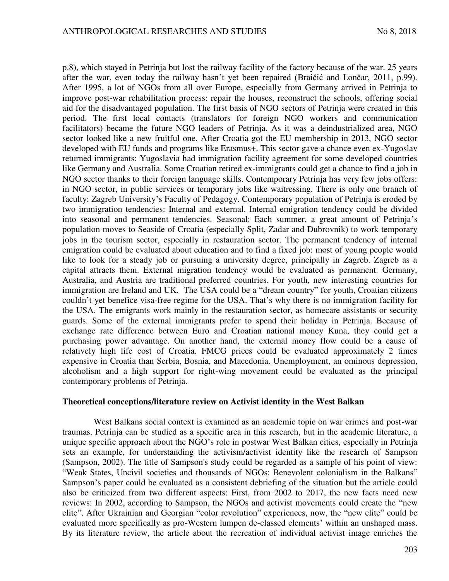p.8), which stayed in Petrinja but lost the railway facility of the factory because of the war. 25 years after the war, even today the railway hasn't yet been repaired (Braičić and Lončar, 2011, p.99). After 1995, a lot of NGOs from all over Europe, especially from Germany arrived in Petrinja to improve post-war rehabilitation process: repair the houses, reconstruct the schools, offering social aid for the disadvantaged population. The first basis of NGO sectors of Petrinja were created in this period. The first local contacts (translators for foreign NGO workers and communication facilitators) became the future NGO leaders of Petrinja. As it was a deindustrialized area, NGO sector looked like a new fruitful one. After Croatia got the EU membership in 2013, NGO sector developed with EU funds and programs like Erasmus+. This sector gave a chance even ex-Yugoslav returned immigrants: Yugoslavia had immigration facility agreement for some developed countries like Germany and Australia. Some Croatian retired ex-immigrants could get a chance to find a job in NGO sector thanks to their foreign language skills. Contemporary Petrinja has very few jobs offers: in NGO sector, in public services or temporary jobs like waitressing. There is only one branch of faculty: Zagreb University's Faculty of Pedagogy. Contemporary population of Petrinja is eroded by two immigration tendencies: Internal and external. Internal emigration tendency could be divided into seasonal and permanent tendencies. Seasonal: Each summer, a great amount of Petrinja's population moves to Seaside of Croatia (especially Split, Zadar and Dubrovnik) to work temporary jobs in the tourism sector, especially in restauration sector. The permanent tendency of internal emigration could be evaluated about education and to find a fixed job: most of young people would like to look for a steady job or pursuing a university degree, principally in Zagreb. Zagreb as a capital attracts them. External migration tendency would be evaluated as permanent. Germany, Australia, and Austria are traditional preferred countries. For youth, new interesting countries for immigration are Ireland and UK. The USA could be a "dream country" for youth, Croatian citizens couldn't yet benefice visa-free regime for the USA. That's why there is no immigration facility for the USA. The emigrants work mainly in the restauration sector, as homecare assistants or security guards. Some of the external immigrants prefer to spend their holiday in Petrinja. Because of exchange rate difference between Euro and Croatian national money Kuna, they could get a purchasing power advantage. On another hand, the external money flow could be a cause of relatively high life cost of Croatia. FMCG prices could be evaluated approximately 2 times expensive in Croatia than Serbia, Bosnia, and Macedonia. Unemployment, an ominous depression, alcoholism and a high support for right-wing movement could be evaluated as the principal contemporary problems of Petrinja.

### **Theoretical conceptions/literature review on Activist identity in the West Balkan**

West Balkans social context is examined as an academic topic on war crimes and post-war traumas. Petrinja can be studied as a specific area in this research, but in the academic literature, a unique specific approach about the NGO's role in postwar West Balkan cities, especially in Petrinja sets an example, for understanding the activism/activist identity like the research of Sampson (Sampson, 2002). The title of Sampson's study could be regarded as a sample of his point of view: "Weak States, Uncivil societies and thousands of NGOs: Benevolent colonialism in the Balkans" Sampson's paper could be evaluated as a consistent debriefing of the situation but the article could also be criticized from two different aspects: First, from 2002 to 2017, the new facts need new reviews: In 2002, according to Sampson, the NGOs and activist movements could create the "new elite". After Ukrainian and Georgian "color revolution" experiences, now, the "new elite" could be evaluated more specifically as pro-Western lumpen de-classed elements' within an unshaped mass. By its literature review, the article about the recreation of individual activist image enriches the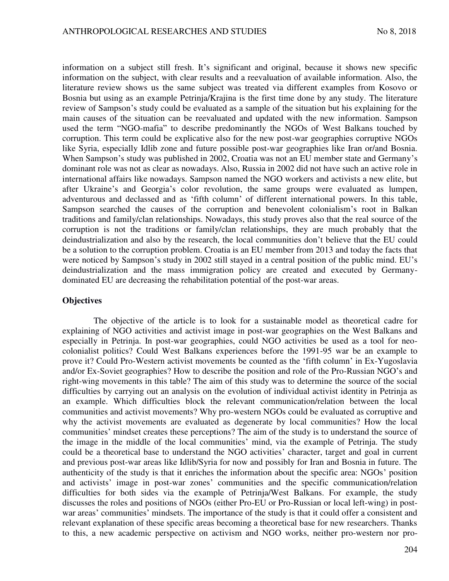information on a subject still fresh. It's significant and original, because it shows new specific information on the subject, with clear results and a reevaluation of available information. Also, the literature review shows us the same subject was treated via different examples from Kosovo or Bosnia but using as an example Petrinja/Krajina is the first time done by any study. The literature review of Sampson's study could be evaluated as a sample of the situation but his explaining for the main causes of the situation can be reevaluated and updated with the new information. Sampson used the term "NGO-mafia" to describe predominantly the NGOs of West Balkans touched by corruption. This term could be explicative also for the new post-war geographies corruptive NGOs like Syria, especially Idlib zone and future possible post-war geographies like Iran or/and Bosnia. When Sampson's study was published in 2002, Croatia was not an EU member state and Germany's dominant role was not as clear as nowadays. Also, Russia in 2002 did not have such an active role in international affairs like nowadays. Sampson named the NGO workers and activists a new elite, but after Ukraine's and Georgia's color revolution, the same groups were evaluated as lumpen, adventurous and declassed and as 'fifth column' of different international powers. In this table, Sampson searched the causes of the corruption and benevolent colonialism's root in Balkan traditions and family/clan relationships. Nowadays, this study proves also that the real source of the corruption is not the traditions or family/clan relationships, they are much probably that the deindustrialization and also by the research, the local communities don't believe that the EU could be a solution to the corruption problem. Croatia is an EU member from 2013 and today the facts that were noticed by Sampson's study in 2002 still stayed in a central position of the public mind. EU's deindustrialization and the mass immigration policy are created and executed by Germanydominated EU are decreasing the rehabilitation potential of the post-war areas.

### **Objectives**

The objective of the article is to look for a sustainable model as theoretical cadre for explaining of NGO activities and activist image in post-war geographies on the West Balkans and especially in Petrinja. In post-war geographies, could NGO activities be used as a tool for neocolonialist politics? Could West Balkans experiences before the 1991-95 war be an example to prove it? Could Pro-Western activist movements be counted as the 'fifth column' in Ex-Yugoslavia and/or Ex-Soviet geographies? How to describe the position and role of the Pro-Russian NGO's and right-wing movements in this table? The aim of this study was to determine the source of the social difficulties by carrying out an analysis on the evolution of individual activist identity in Petrinja as an example. Which difficulties block the relevant communication/relation between the local communities and activist movements? Why pro-western NGOs could be evaluated as corruptive and why the activist movements are evaluated as degenerate by local communities? How the local communities' mindset creates these perceptions? The aim of the study is to understand the source of the image in the middle of the local communities' mind, via the example of Petrinja. The study could be a theoretical base to understand the NGO activities' character, target and goal in current and previous post-war areas like Idlib/Syria for now and possibly for Iran and Bosnia in future. The authenticity of the study is that it enriches the information about the specific area: NGOs' position and activists' image in post-war zones' communities and the specific communication/relation difficulties for both sides via the example of Petrinja/West Balkans. For example, the study discusses the roles and positions of NGOs (either Pro-EU or Pro-Russian or local left-wing) in postwar areas' communities' mindsets. The importance of the study is that it could offer a consistent and relevant explanation of these specific areas becoming a theoretical base for new researchers. Thanks to this, a new academic perspective on activism and NGO works, neither pro-western nor pro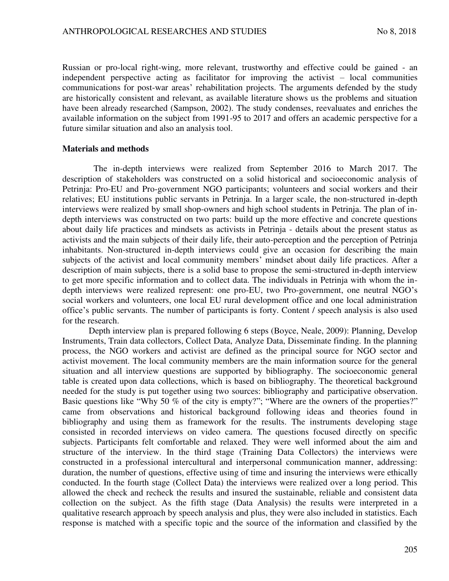Russian or pro-local right-wing, more relevant, trustworthy and effective could be gained - an independent perspective acting as facilitator for improving the activist – local communities communications for post-war areas' rehabilitation projects. The arguments defended by the study are historically consistent and relevant, as available literature shows us the problems and situation have been already researched (Sampson, 2002). The study condenses, reevaluates and enriches the available information on the subject from 1991-95 to 2017 and offers an academic perspective for a future similar situation and also an analysis tool.

#### **Materials and methods**

The in-depth interviews were realized from September 2016 to March 2017. The description of stakeholders was constructed on a solid historical and socioeconomic analysis of Petrinja: Pro-EU and Pro-government NGO participants; volunteers and social workers and their relatives; EU institutions public servants in Petrinja. In a larger scale, the non-structured in-depth interviews were realized by small shop-owners and high school students in Petrinja. The plan of indepth interviews was constructed on two parts: build up the more effective and concrete questions about daily life practices and mindsets as activists in Petrinja - details about the present status as activists and the main subjects of their daily life, their auto-perception and the perception of Petrinja inhabitants. Non-structured in-depth interviews could give an occasion for describing the main subjects of the activist and local community members' mindset about daily life practices. After a description of main subjects, there is a solid base to propose the semi-structured in-depth interview to get more specific information and to collect data. The individuals in Petrinja with whom the indepth interviews were realized represent: one pro-EU, two Pro-government, one neutral NGO's social workers and volunteers, one local EU rural development office and one local administration office's public servants. The number of participants is forty. Content / speech analysis is also used for the research.

Depth interview plan is prepared following 6 steps (Boyce, Neale, 2009): Planning, Develop Instruments, Train data collectors, Collect Data, Analyze Data, Disseminate finding. In the planning process, the NGO workers and activist are defined as the principal source for NGO sector and activist movement. The local community members are the main information source for the general situation and all interview questions are supported by bibliography. The socioeconomic general table is created upon data collections, which is based on bibliography. The theoretical background needed for the study is put together using two sources: bibliography and participative observation. Basic questions like "Why 50 % of the city is empty?"; "Where are the owners of the properties?" came from observations and historical background following ideas and theories found in bibliography and using them as framework for the results. The instruments developing stage consisted in recorded interviews on video camera. The questions focused directly on specific subjects. Participants felt comfortable and relaxed. They were well informed about the aim and structure of the interview. In the third stage (Training Data Collectors) the interviews were constructed in a professional intercultural and interpersonal communication manner, addressing: duration, the number of questions, effective using of time and insuring the interviews were ethically conducted. In the fourth stage (Collect Data) the interviews were realized over a long period. This allowed the check and recheck the results and insured the sustainable, reliable and consistent data collection on the subject. As the fifth stage (Data Analysis) the results were interpreted in a qualitative research approach by speech analysis and plus, they were also included in statistics. Each response is matched with a specific topic and the source of the information and classified by the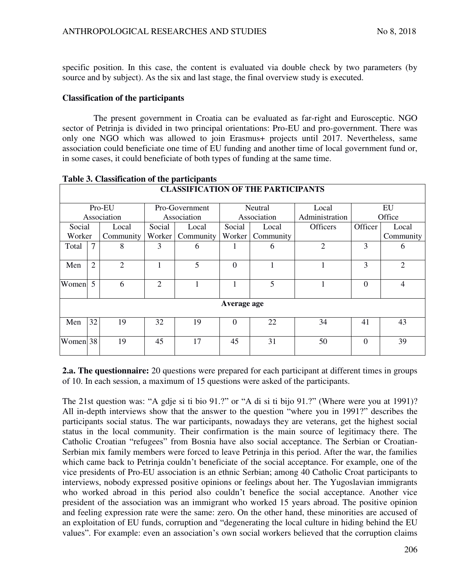specific position. In this case, the content is evaluated via double check by two parameters (by source and by subject). As the six and last stage, the final overview study is executed.

## **Classification of the participants**

The present government in Croatia can be evaluated as far-right and Eurosceptic. NGO sector of Petrinja is divided in two principal orientations: Pro-EU and pro-government. There was only one NGO which was allowed to join Erasmus+ projects until 2017. Nevertheless, same association could beneficiate one time of EU funding and another time of local government fund or, in some cases, it could beneficiate of both types of funding at the same time.

| <b>CLASSIFICATION OF THE PARTICIPANTS</b> |                                           |                |        |                |          |           |                 |          |                |
|-------------------------------------------|-------------------------------------------|----------------|--------|----------------|----------|-----------|-----------------|----------|----------------|
| Pro-EU                                    |                                           | Pro-Government |        | Neutral        |          | Local     | EU              |          |                |
|                                           | Association<br>Association<br>Association |                |        | Administration | Office   |           |                 |          |                |
| Social                                    |                                           | Local          | Social | Local          | Social   | Local     | <b>Officers</b> | Officer  | Local          |
| Worker                                    |                                           | Community      | Worker | Community      | Worker   | Community |                 |          | Community      |
| Total                                     |                                           | 8              | 3      | 6              |          | 6         | $\overline{2}$  | 3        | 6              |
| Men                                       | $\overline{2}$                            | $\overline{2}$ |        | 5              | $\Omega$ |           | 1               | 3        | $\overline{2}$ |
| Women                                     | $\overline{5}$                            | 6              | 2      |                | 1        | 5         | Ι.              | $\Omega$ | $\overline{4}$ |
| Average age                               |                                           |                |        |                |          |           |                 |          |                |
| Men                                       | 32                                        | 19             | 32     | 19             | $\Omega$ | 22        | 34              | 41       | 43             |
| Women 38                                  |                                           | 19             | 45     | 17             | 45       | 31        | 50              | $\Omega$ | 39             |

## **Table 3. Classification of the participants**

**2.a. The questionnaire:** 20 questions were prepared for each participant at different times in groups of 10. In each session, a maximum of 15 questions were asked of the participants.

The 21st question was: "A gdje si ti bio 91.?" or "A di si ti bijo 91.?" (Where were you at 1991)? All in-depth interviews show that the answer to the question "where you in 1991?" describes the participants social status. The war participants, nowadays they are veterans, get the highest social status in the local community. Their confirmation is the main source of legitimacy there. The Catholic Croatian "refugees" from Bosnia have also social acceptance. The Serbian or Croatian-Serbian mix family members were forced to leave Petrinja in this period. After the war, the families which came back to Petrinja couldn't beneficiate of the social acceptance. For example, one of the vice presidents of Pro-EU association is an ethnic Serbian; among 40 Catholic Croat participants to interviews, nobody expressed positive opinions or feelings about her. The Yugoslavian immigrants who worked abroad in this period also couldn't benefice the social acceptance. Another vice president of the association was an immigrant who worked 15 years abroad. The positive opinion and feeling expression rate were the same: zero. On the other hand, these minorities are accused of an exploitation of EU funds, corruption and "degenerating the local culture in hiding behind the EU values". For example: even an association's own social workers believed that the corruption claims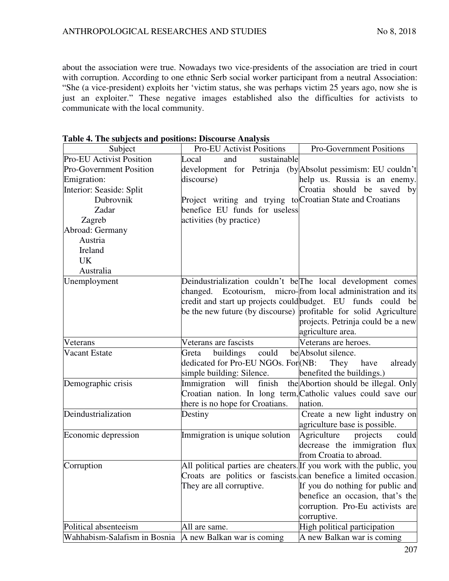about the association were true. Nowadays two vice-presidents of the association are tried in court with corruption. According to one ethnic Serb social worker participant from a neutral Association: "She (a vice-president) exploits her 'victim status, she was perhaps victim 25 years ago, now she is just an exploiter." These negative images established also the difficulties for activists to communicate with the local community.

| Subject                                                   | <b>Pro-EU Activist Positions</b>                           | <b>Pro-Government Positions</b>                                        |
|-----------------------------------------------------------|------------------------------------------------------------|------------------------------------------------------------------------|
| Pro-EU Activist Position                                  | and<br>sustainable<br>Local                                |                                                                        |
| <b>Pro-Government Position</b>                            |                                                            | development for Petrinja (by Absolut pessimism: EU couldn't            |
| Emigration:                                               | discourse)                                                 | help us. Russia is an enemy.                                           |
| Interior: Seaside: Split                                  |                                                            | Croatia should be saved by                                             |
| Dubrovnik                                                 | Project writing and trying to Croatian State and Croatians |                                                                        |
| Zadar                                                     | benefice EU funds for useless                              |                                                                        |
| Zagreb                                                    | activities (by practice)                                   |                                                                        |
| Abroad: Germany                                           |                                                            |                                                                        |
| Austria                                                   |                                                            |                                                                        |
| Ireland                                                   |                                                            |                                                                        |
| <b>UK</b>                                                 |                                                            |                                                                        |
| Australia                                                 |                                                            |                                                                        |
| Unemployment                                              |                                                            | Deindustrialization couldn't be <sup>The</sup> local development comes |
|                                                           |                                                            | changed. Ecotourism, micro-from local administration and its           |
|                                                           |                                                            | credit and start up projects couldbudget. EU funds could be            |
|                                                           |                                                            | be the new future (by discourse) profitable for solid Agriculture      |
|                                                           |                                                            | projects. Petrinja could be a new                                      |
|                                                           |                                                            | agriculture area.                                                      |
| Veterans                                                  | Veterans are fascists                                      | Veterans are heroes.                                                   |
| <b>Vacant Estate</b>                                      | buildings<br>could<br>Greta                                | be Absolut silence.                                                    |
|                                                           | dedicated for Pro-EU NGOs. For (NB:                        | They<br>have<br>already                                                |
|                                                           | simple building: Silence.                                  | benefited the buildings.)                                              |
| Demographic crisis                                        | Immigration will finish                                    | the Abortion should be illegal. Only                                   |
|                                                           |                                                            | Croatian nation. In long term, Catholic values could save our          |
|                                                           | there is no hope for Croatians.                            | nation.                                                                |
| Deindustrialization                                       | Destiny                                                    | Create a new light industry on                                         |
|                                                           |                                                            | agriculture base is possible.                                          |
| Economic depression                                       | Immigration is unique solution                             | Agriculture<br>could<br>projects                                       |
|                                                           |                                                            | decrease the immigration flux                                          |
|                                                           |                                                            | from Croatia to abroad.                                                |
| Corruption                                                |                                                            | All political parties are cheaters. If you work with the public, you   |
|                                                           |                                                            | Croats are politics or fascists.can benefice a limited occasion.       |
|                                                           | They are all corruptive.                                   | If you do nothing for public and                                       |
|                                                           |                                                            | benefice an occasion, that's the                                       |
|                                                           |                                                            | corruption. Pro-Eu activists are                                       |
|                                                           |                                                            | corruptive.                                                            |
| Political absenteeism                                     | All are same.                                              | High political participation                                           |
| Wahhabism-Salafism in Bosnia   A new Balkan war is coming |                                                            | A new Balkan war is coming                                             |

## **Table 4. The subjects and positions: Discourse Analysis**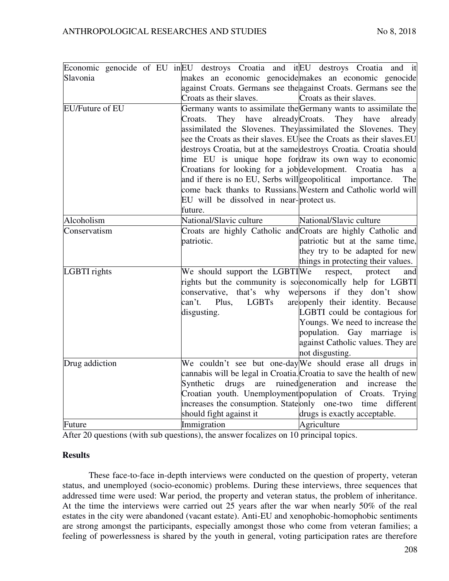|                        |                                                            | Economic genocide of EU in EU destroys Croatia and it EU destroys Croatia and it |
|------------------------|------------------------------------------------------------|----------------------------------------------------------------------------------|
| Slavonia               |                                                            | makes an economic genocide makes an economic genocide                            |
|                        |                                                            | against Croats. Germans see the against Croats. Germans see the                  |
|                        | Croats as their slaves.                                    | Croats as their slaves.                                                          |
| <b>EU/Future of EU</b> |                                                            | Germany wants to assimilate the Germany wants to assimilate the                  |
|                        | They have<br>Croats.                                       | already Croats. They<br>have<br>already                                          |
|                        |                                                            | assimilated the Slovenes. They assimilated the Slovenes. They                    |
|                        |                                                            | see the Croats as their slaves. EU <sub>see</sub> the Croats as their slaves. EU |
|                        |                                                            | destroys Croatia, but at the same destroys Croatia. Croatia should               |
|                        |                                                            | time EU is unique hope for draw its own way to economic                          |
|                        | Croatians for looking for a job development. Croatia has   |                                                                                  |
|                        | and if there is no EU, Serbs will geopolitical importance. | The                                                                              |
|                        |                                                            | come back thanks to Russians. Western and Catholic world will                    |
|                        | EU will be dissolved in near-protect us.                   |                                                                                  |
|                        | future.                                                    |                                                                                  |
| Alcoholism             | National/Slavic culture                                    | National/Slavic culture                                                          |
| Conservatism           |                                                            | Croats are highly Catholic and Croats are highly Catholic and                    |
|                        | patriotic.                                                 | patriotic but at the same time,                                                  |
|                        |                                                            | they try to be adapted for new                                                   |
|                        |                                                            | things in protecting their values.                                               |
| LGBTI rights           | We should support the LGBTIWe                              | respect,<br>protect<br>and                                                       |
|                        |                                                            | rights but the community is so economically help for LGBTI                       |
|                        |                                                            | conservative, that's why we persons if they don't show                           |
|                        | can't. Plus,<br><b>LGBTs</b>                               | are openly their identity. Because                                               |
|                        | disgusting.                                                | LGBTI could be contagious for                                                    |
|                        |                                                            | Youngs. We need to increase the                                                  |
|                        |                                                            | population. Gay marriage is                                                      |
|                        |                                                            | against Catholic values. They are                                                |
|                        |                                                            | not disgusting.                                                                  |
| Drug addiction         |                                                            | We couldn't see but one-day We should erase all drugs in                         |
|                        |                                                            | cannabis will be legal in Croatia. Croatia to save the health of new             |
|                        | Synthetic drugs<br>are                                     | ruinedgeneration<br>and increase<br>the                                          |
|                        |                                                            | Croatian youth. Unemployment population of Croats. Trying                        |
|                        | increases the consumption. State only one-two time         | different                                                                        |
|                        | should fight against it                                    | drugs is exactly acceptable.                                                     |
| Future                 | Immigration                                                | Agriculture                                                                      |

After 20 questions (with sub questions), the answer focalizes on 10 principal topics.

# **Results**

These face-to-face in-depth interviews were conducted on the question of property, veteran status, and unemployed (socio-economic) problems. During these interviews, three sequences that addressed time were used: War period, the property and veteran status, the problem of inheritance. At the time the interviews were carried out 25 years after the war when nearly 50% of the real estates in the city were abandoned (vacant estate). Anti-EU and xenophobic-homophobic sentiments are strong amongst the participants, especially amongst those who come from veteran families; a feeling of powerlessness is shared by the youth in general, voting participation rates are therefore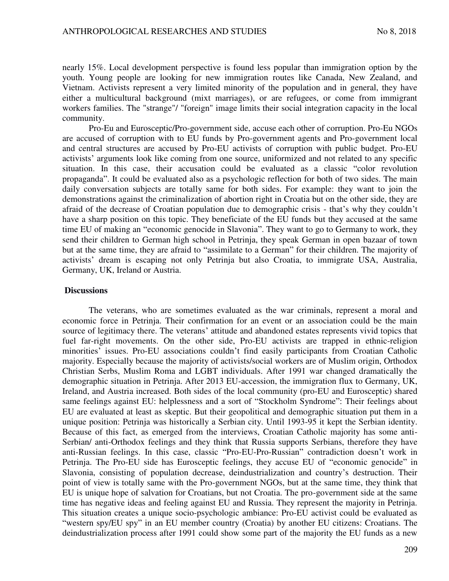nearly 15%. Local development perspective is found less popular than immigration option by the youth. Young people are looking for new immigration routes like Canada, New Zealand, and Vietnam. Activists represent a very limited minority of the population and in general, they have either a multicultural background (mixt marriages), or are refugees, or come from immigrant workers families. The "strange"/ "foreign" image limits their social integration capacity in the local community.

Pro-Eu and Eurosceptic/Pro-government side, accuse each other of corruption. Pro-Eu NGOs are accused of corruption with to EU funds by Pro-government agents and Pro-government local and central structures are accused by Pro-EU activists of corruption with public budget. Pro-EU activists' arguments look like coming from one source, uniformized and not related to any specific situation. In this case, their accusation could be evaluated as a classic "color revolution propaganda". It could be evaluated also as a psychologic reflection for both of two sides. The main daily conversation subjects are totally same for both sides. For example: they want to join the demonstrations against the criminalization of abortion right in Croatia but on the other side, they are afraid of the decrease of Croatian population due to demographic crisis - that's why they couldn't have a sharp position on this topic. They beneficiate of the EU funds but they accused at the same time EU of making an "economic genocide in Slavonia". They want to go to Germany to work, they send their children to German high school in Petrinja, they speak German in open bazaar of town but at the same time, they are afraid to "assimilate to a German" for their children. The majority of activists' dream is escaping not only Petrinja but also Croatia, to immigrate USA, Australia, Germany, UK, Ireland or Austria.

## **Discussions**

The veterans, who are sometimes evaluated as the war criminals, represent a moral and economic force in Petrinja. Their confirmation for an event or an association could be the main source of legitimacy there. The veterans' attitude and abandoned estates represents vivid topics that fuel far-right movements. On the other side, Pro-EU activists are trapped in ethnic-religion minorities' issues. Pro-EU associations couldn't find easily participants from Croatian Catholic majority. Especially because the majority of activists/social workers are of Muslim origin, Orthodox Christian Serbs, Muslim Roma and LGBT individuals. After 1991 war changed dramatically the demographic situation in Petrinja. After 2013 EU-accession, the immigration flux to Germany, UK, Ireland, and Austria increased. Both sides of the local community (pro-EU and Eurosceptic) shared same feelings against EU: helplessness and a sort of "Stockholm Syndrome": Their feelings about EU are evaluated at least as skeptic. But their geopolitical and demographic situation put them in a unique position: Petrinja was historically a Serbian city. Until 1993-95 it kept the Serbian identity. Because of this fact, as emerged from the interviews, Croatian Catholic majority has some anti-Serbian/ anti-Orthodox feelings and they think that Russia supports Serbians, therefore they have anti-Russian feelings. In this case, classic "Pro-EU-Pro-Russian" contradiction doesn't work in Petrinja. The Pro-EU side has Eurosceptic feelings, they accuse EU of "economic genocide" in Slavonia, consisting of population decrease, deindustrialization and country's destruction. Their point of view is totally same with the Pro-government NGOs, but at the same time, they think that EU is unique hope of salvation for Croatians, but not Croatia. The pro-government side at the same time has negative ideas and feeling against EU and Russia. They represent the majority in Petrinja. This situation creates a unique socio-psychologic ambiance: Pro-EU activist could be evaluated as "western spy/EU spy" in an EU member country (Croatia) by another EU citizens: Croatians. The deindustrialization process after 1991 could show some part of the majority the EU funds as a new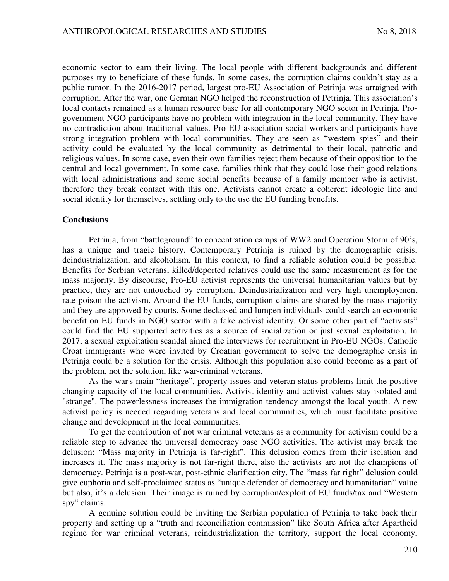economic sector to earn their living. The local people with different backgrounds and different purposes try to beneficiate of these funds. In some cases, the corruption claims couldn't stay as a public rumor. In the 2016-2017 period, largest pro-EU Association of Petrinja was arraigned with corruption. After the war, one German NGO helped the reconstruction of Petrinja. This association's local contacts remained as a human resource base for all contemporary NGO sector in Petrinja. Progovernment NGO participants have no problem with integration in the local community. They have no contradiction about traditional values. Pro-EU association social workers and participants have strong integration problem with local communities. They are seen as "western spies" and their activity could be evaluated by the local community as detrimental to their local, patriotic and religious values. In some case, even their own families reject them because of their opposition to the central and local government. In some case, families think that they could lose their good relations with local administrations and some social benefits because of a family member who is activist, therefore they break contact with this one. Activists cannot create a coherent ideologic line and social identity for themselves, settling only to the use the EU funding benefits.

#### **Conclusions**

Petrinja, from "battleground" to concentration camps of WW2 and Operation Storm of 90's, has a unique and tragic history. Contemporary Petrinja is ruined by the demographic crisis, deindustrialization, and alcoholism. In this context, to find a reliable solution could be possible. Benefits for Serbian veterans, killed/deported relatives could use the same measurement as for the mass majority. By discourse, Pro-EU activist represents the universal humanitarian values but by practice, they are not untouched by corruption. Deindustrialization and very high unemployment rate poison the activism. Around the EU funds, corruption claims are shared by the mass majority and they are approved by courts. Some declassed and lumpen individuals could search an economic benefit on EU funds in NGO sector with a fake activist identity. Or some other part of "activists" could find the EU supported activities as a source of socialization or just sexual exploitation. In 2017, a sexual exploitation scandal aimed the interviews for recruitment in Pro-EU NGOs. Catholic Croat immigrants who were invited by Croatian government to solve the demographic crisis in Petrinja could be a solution for the crisis. Although this population also could become as a part of the problem, not the solution, like war-criminal veterans.

As the war's main "heritage", property issues and veteran status problems limit the positive changing capacity of the local communities. Activist identity and activist values stay isolated and "strange". The powerlessness increases the immigration tendency amongst the local youth. A new activist policy is needed regarding veterans and local communities, which must facilitate positive change and development in the local communities.

To get the contribution of not war criminal veterans as a community for activism could be a reliable step to advance the universal democracy base NGO activities. The activist may break the delusion: "Mass majority in Petrinja is far-right". This delusion comes from their isolation and increases it. The mass majority is not far-right there, also the activists are not the champions of democracy. Petrinja is a post-war, post-ethnic clarification city. The "mass far right" delusion could give euphoria and self-proclaimed status as "unique defender of democracy and humanitarian" value but also, it's a delusion. Their image is ruined by corruption/exploit of EU funds/tax and "Western spy" claims.

A genuine solution could be inviting the Serbian population of Petrinja to take back their property and setting up a "truth and reconciliation commission" like South Africa after Apartheid regime for war criminal veterans, reindustrialization the territory, support the local economy,